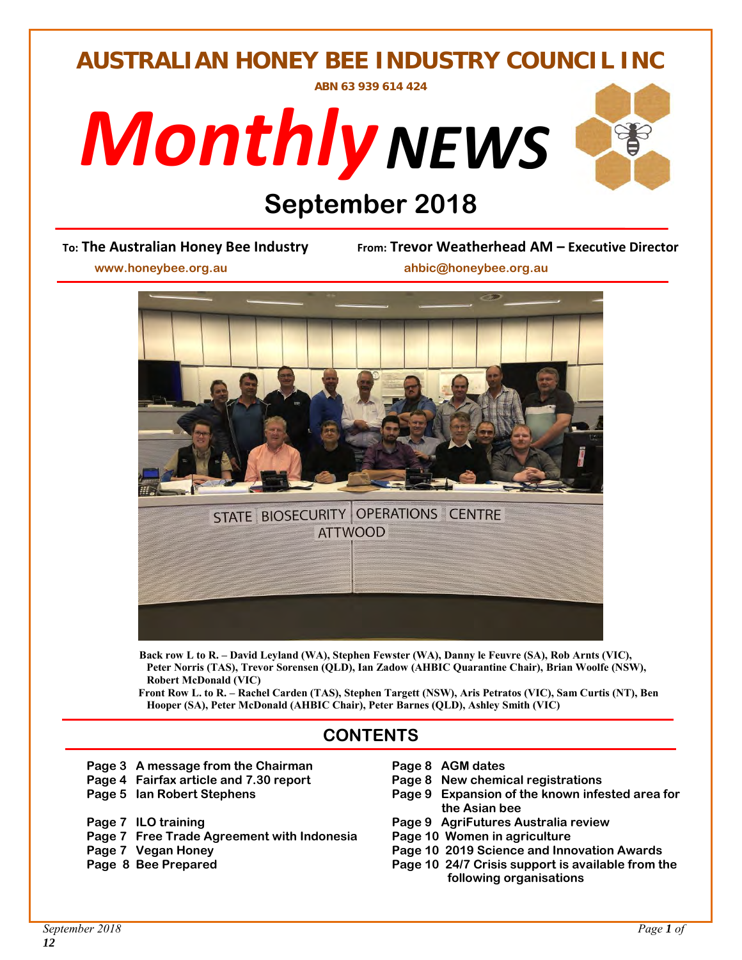## **AUSTRALIAN HONEY BEE INDUSTRY COUNCIL INC**

**ABN 63 939 614 424** 





# **Digitember 2018**<br> **Digity From: Trevor Weath**

**To: The Australian Honey Bee Industry From: Trevor Weatherhead AM – Executive Director** 

 **www.honeybee.org.au ahbic@honeybee.org.au** 



 **Back row L to R. – David Leyland (WA), Stephen Fewster (WA), Danny le Feuvre (SA), Rob Arnts (VIC), Peter Norris (TAS), Trevor Sorensen (QLD), Ian Zadow (AHBIC Quarantine Chair), Brian Woolfe (NSW), Robert McDonald (VIC)** 

 **Front Row L. to R. – Rachel Carden (TAS), Stephen Targett (NSW), Aris Petratos (VIC), Sam Curtis (NT), Ben Hooper (SA), Peter McDonald (AHBIC Chair), Peter Barnes (QLD), Ashley Smith (VIC)** 

#### **CONTENTS**

- Page 3 A message from the Chairman Page 8 AGM dates
- Page 4 Fairfax article and 7.30 report Page 8 New chemical registrations
- 
- 
- **Page 7 Free Trade Agreement with Indonesia Page 10 Women in agriculture**
- 
- 
- 
- 
- **Page 5 Ian Robert Stephens Table 10 B Algerige 1 Page 9 Expansion of the known infested area for the Asian bee**
- Page 7 ILO training **Page 9 AgriFutures Australia review** 
	-
- **Page 7 Vegan Honey Page 10 2019 Science and Innovation Awards**
- **Page 8 Bee Prepared Page 10 24/7 Crisis support is available from the following organisations**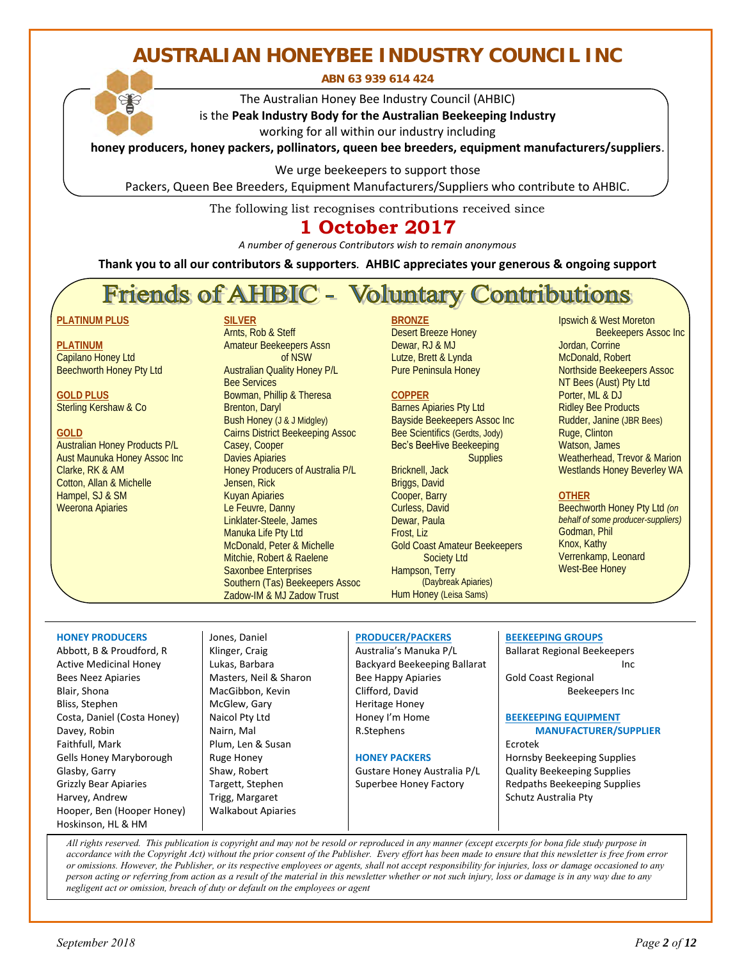## **AUSTRALIAN HONEYBEE INDUSTRY COUNCIL INC**

**ABN 63 939 614 424** 

The Australian Honey Bee Industry Council (AHBIC)

is the **Peak Industry Body for the Australian Beekeeping Industry** working for all within our industry including

**honey producers, honey packers, pollinators, queen bee breeders, equipment manufacturers/suppliers**.

We urge beekeepers to support those

Packers, Queen Bee Breeders, Equipment Manufacturers/Suppliers who contribute to AHBIC.

The following list recognises contributions received since

### **1 October 2017**

*A number of generous Contributors wish to remain anonymous* 

**Thank you to all our contributors & supporters***.* **AHBIC appreciates your generous & ongoing support**

## Friends of AHBIC - Voluntary Contributions

#### **PLATINUM PLUS**

**PLATINUM**  Capilano Honey Ltd Beechworth Honey Pty Ltd

**GOLD PLUS**  Sterling Kershaw & Co

#### **GOLD**

Australian Honey Products P/L Aust Maunuka Honey Assoc Inc Clarke, RK & AM Cotton, Allan & Michelle Hampel, SJ & SM Weerona Apiaries

**SILVER** 

Arnts, Rob & Steff Amateur Beekeepers Assn of NSW Australian Quality Honey P/L Bee Services Bowman, Phillip & Theresa Brenton, Daryl Bush Honey (J & J Midgley) Cairns District Beekeeping Assoc Casey, Cooper Davies Apiaries Honey Producers of Australia P/L Jensen, Rick Kuyan Apiaries Le Feuvre, Danny Linklater-Steele, James Manuka Life Pty Ltd McDonald, Peter & Michelle Mitchie, Robert & Raelene Saxonbee Enterprises Southern (Tas) Beekeepers Assoc Zadow-IM & MJ Zadow Trust

#### **BRONZE**

Desert Breeze Honey Dewar, RJ & MJ Lutze, Brett & Lynda Pure Peninsula Honey

#### **COPPER**

Barnes Apiaries Pty Ltd Bayside Beekeepers Assoc Inc Bee Scientifics (Gerdts, Jody) Bec's BeeHive Beekeeping **Supplies** 

Bricknell, Jack Briggs, David Cooper, Barry Curless, David Dewar, Paula Frost, Liz Gold Coast Amateur Beekeepers Society Ltd Hampson, Terry (Daybreak Apiaries) Hum Honey (Leisa Sams)

Ipswich & West Moreton Beekeepers Assoc Inc Jordan, Corrine McDonald, Robert Northside Beekeepers Assoc NT Bees (Aust) Pty Ltd Porter, ML & DJ Ridley Bee Products Rudder, Janine (JBR Bees) Ruge, Clinton Watson, James Weatherhead, Trevor & Marion Westlands Honey Beverley WA

#### **OTHER**

Beechworth Honey Pty Ltd *(on behalf of some producer-suppliers)* Godman, Phil Knox, Kathy Verrenkamp, Leonard West-Bee Honey

#### **HONEY PRODUCERS**

Abbott, B & Proudford, R Active Medicinal Honey Bees Neez Apiaries Blair, Shona Bliss, Stephen Costa, Daniel (Costa Honey) Davey, Robin Faithfull, Mark Gells Honey Maryborough Glasby, Garry Grizzly Bear Apiaries Harvey, Andrew Hooper, Ben (Hooper Honey) Hoskinson, HL & HM 

Jones, Daniel Klinger, Craig Lukas, Barbara Masters, Neil & Sharon MacGibbon, Kevin McGlew, Gary Naicol Pty Ltd Nairn, Mal Plum, Len & Susan Ruge Honey Shaw, Robert Targett, Stephen Trigg, Margaret Walkabout Apiaries

#### **PRODUCER/PACKERS**

Australia's Manuka P/L Backyard Beekeeping Ballarat Bee Happy Apiaries Clifford, David Heritage Honey Honey I'm Home R.Stephens

#### **HONEY PACKERS**

Gustare Honey Australia P/L Superbee Honey Factory

#### **BEEKEEPING GROUPS**

Ballarat Regional Beekeepers **Inc.** Inc. Inc. Inc.

Gold Coast Regional Beekeepers Inc

#### **BEEKEEPING EQUIPMENT MANUFACTURER/SUPPLIER**

Ecrotek Hornsby Beekeeping Supplies Quality Beekeeping Supplies Redpaths Beekeeping Supplies Schutz Australia Pty

 *All rights reserved. This publication is copyright and may not be resold or reproduced in any manner (except excerpts for bona fide study purpose in accordance with the Copyright Act) without the prior consent of the Publisher. Every effort has been made to ensure that this newsletter is free from error or omissions. However, the Publisher, or its respective employees or agents, shall not accept responsibility for injuries, loss or damage occasioned to any person acting or referring from action as a result of the material in this newsletter whether or not such injury, loss or damage is in any way due to any negligent act or omission, breach of duty or default on the employees or agent*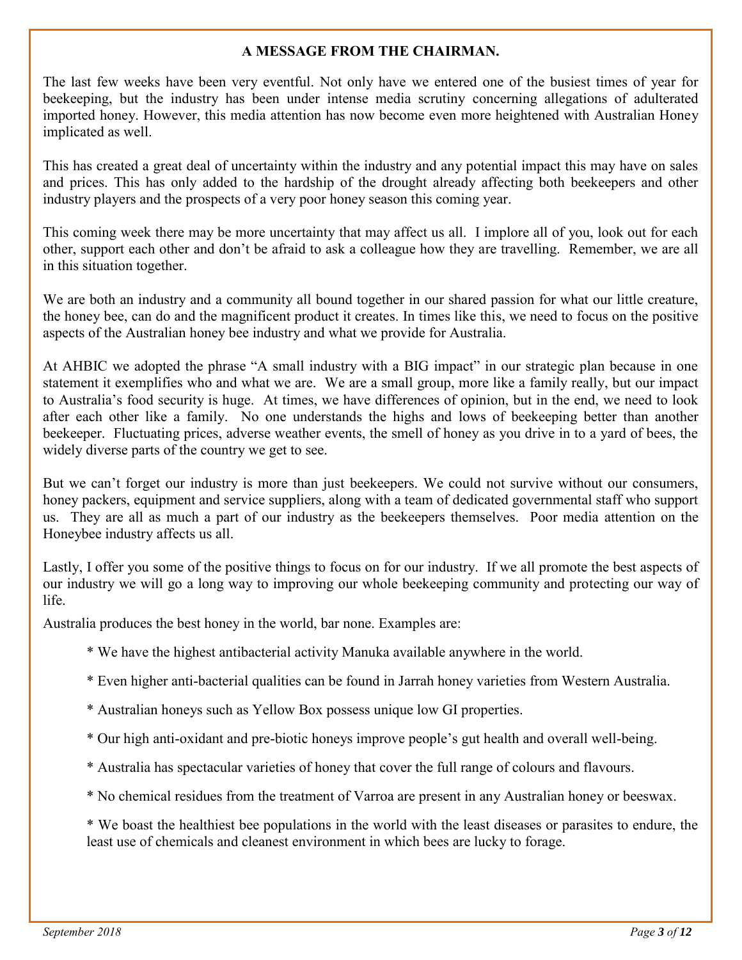#### **A MESSAGE FROM THE CHAIRMAN.**

The last few weeks have been very eventful. Not only have we entered one of the busiest times of year for beekeeping, but the industry has been under intense media scrutiny concerning allegations of adulterated imported honey. However, this media attention has now become even more heightened with Australian Honey implicated as well.

This has created a great deal of uncertainty within the industry and any potential impact this may have on sales and prices. This has only added to the hardship of the drought already affecting both beekeepers and other industry players and the prospects of a very poor honey season this coming year.

This coming week there may be more uncertainty that may affect us all. I implore all of you, look out for each other, support each other and don't be afraid to ask a colleague how they are travelling. Remember, we are all in this situation together.

We are both an industry and a community all bound together in our shared passion for what our little creature, the honey bee, can do and the magnificent product it creates. In times like this, we need to focus on the positive aspects of the Australian honey bee industry and what we provide for Australia.

At AHBIC we adopted the phrase "A small industry with a BIG impact" in our strategic plan because in one statement it exemplifies who and what we are. We are a small group, more like a family really, but our impact to Australia's food security is huge. At times, we have differences of opinion, but in the end, we need to look after each other like a family. No one understands the highs and lows of beekeeping better than another beekeeper. Fluctuating prices, adverse weather events, the smell of honey as you drive in to a yard of bees, the widely diverse parts of the country we get to see.

But we can't forget our industry is more than just beekeepers. We could not survive without our consumers, honey packers, equipment and service suppliers, along with a team of dedicated governmental staff who support us. They are all as much a part of our industry as the beekeepers themselves. Poor media attention on the Honeybee industry affects us all.

Lastly, I offer you some of the positive things to focus on for our industry. If we all promote the best aspects of our industry we will go a long way to improving our whole beekeeping community and protecting our way of life.

Australia produces the best honey in the world, bar none. Examples are:

- \* We have the highest antibacterial activity Manuka available anywhere in the world.
- \* Even higher anti-bacterial qualities can be found in Jarrah honey varieties from Western Australia.
- \* Australian honeys such as Yellow Box possess unique low GI properties.
- \* Our high anti-oxidant and pre-biotic honeys improve people's gut health and overall well-being.
- \* Australia has spectacular varieties of honey that cover the full range of colours and flavours.
- \* No chemical residues from the treatment of Varroa are present in any Australian honey or beeswax.

\* We boast the healthiest bee populations in the world with the least diseases or parasites to endure, the least use of chemicals and cleanest environment in which bees are lucky to forage.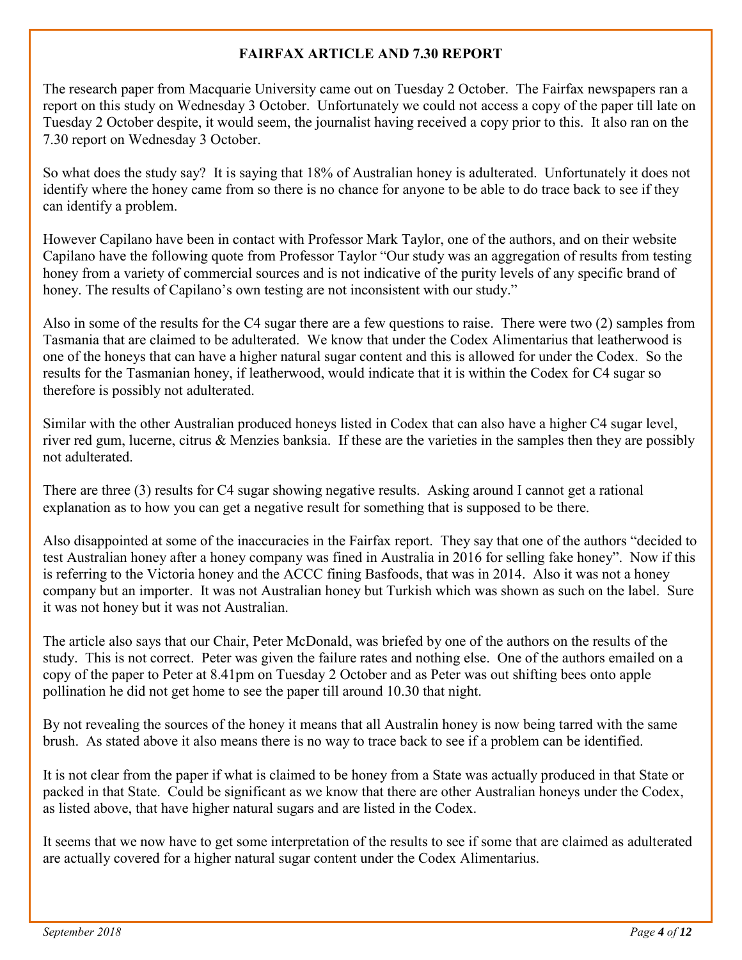#### **FAIRFAX ARTICLE AND 7.30 REPORT**

The research paper from Macquarie University came out on Tuesday 2 October. The Fairfax newspapers ran a report on this study on Wednesday 3 October. Unfortunately we could not access a copy of the paper till late on Tuesday 2 October despite, it would seem, the journalist having received a copy prior to this. It also ran on the 7.30 report on Wednesday 3 October.

So what does the study say? It is saying that 18% of Australian honey is adulterated. Unfortunately it does not identify where the honey came from so there is no chance for anyone to be able to do trace back to see if they can identify a problem.

However Capilano have been in contact with Professor Mark Taylor, one of the authors, and on their website Capilano have the following quote from Professor Taylor "Our study was an aggregation of results from testing honey from a variety of commercial sources and is not indicative of the purity levels of any specific brand of honey. The results of Capilano's own testing are not inconsistent with our study."

Also in some of the results for the C4 sugar there are a few questions to raise. There were two (2) samples from Tasmania that are claimed to be adulterated. We know that under the Codex Alimentarius that leatherwood is one of the honeys that can have a higher natural sugar content and this is allowed for under the Codex. So the results for the Tasmanian honey, if leatherwood, would indicate that it is within the Codex for C4 sugar so therefore is possibly not adulterated.

Similar with the other Australian produced honeys listed in Codex that can also have a higher C4 sugar level, river red gum, lucerne, citrus & Menzies banksia. If these are the varieties in the samples then they are possibly not adulterated.

There are three (3) results for C4 sugar showing negative results. Asking around I cannot get a rational explanation as to how you can get a negative result for something that is supposed to be there.

Also disappointed at some of the inaccuracies in the Fairfax report. They say that one of the authors "decided to test Australian honey after a honey company was fined in Australia in 2016 for selling fake honey". Now if this is referring to the Victoria honey and the ACCC fining Basfoods, that was in 2014. Also it was not a honey company but an importer. It was not Australian honey but Turkish which was shown as such on the label. Sure it was not honey but it was not Australian.

The article also says that our Chair, Peter McDonald, was briefed by one of the authors on the results of the study. This is not correct. Peter was given the failure rates and nothing else. One of the authors emailed on a copy of the paper to Peter at 8.41pm on Tuesday 2 October and as Peter was out shifting bees onto apple pollination he did not get home to see the paper till around 10.30 that night.

By not revealing the sources of the honey it means that all Australin honey is now being tarred with the same brush. As stated above it also means there is no way to trace back to see if a problem can be identified.

It is not clear from the paper if what is claimed to be honey from a State was actually produced in that State or packed in that State. Could be significant as we know that there are other Australian honeys under the Codex, as listed above, that have higher natural sugars and are listed in the Codex.

It seems that we now have to get some interpretation of the results to see if some that are claimed as adulterated are actually covered for a higher natural sugar content under the Codex Alimentarius.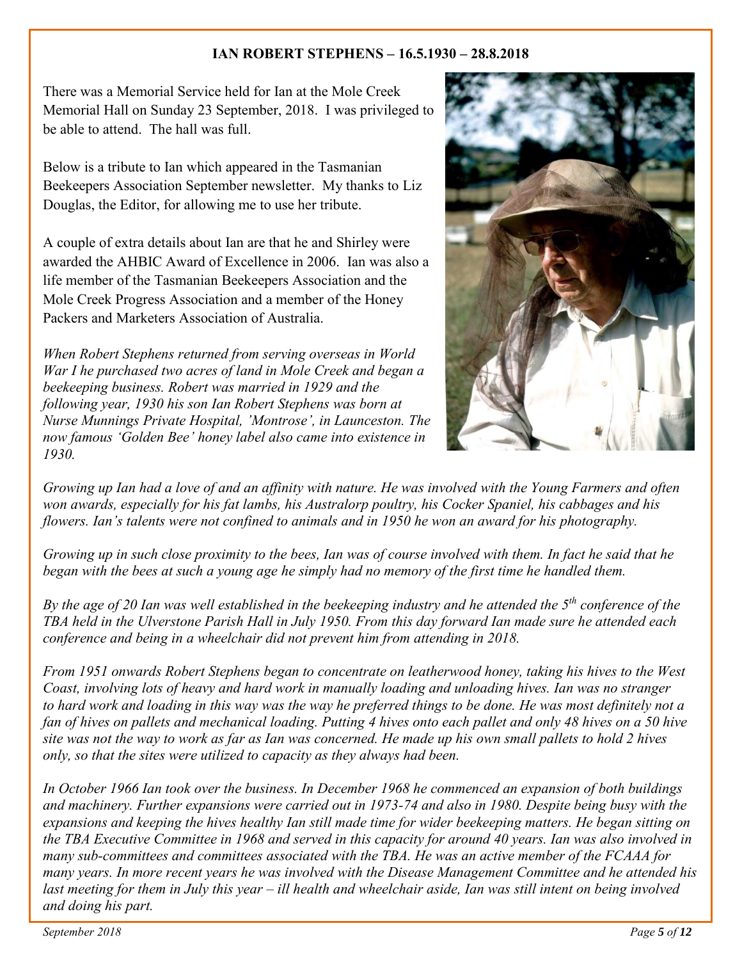#### **IAN ROBERT STEPHENS – 16.5.1930 – 28.8.2018**

There was a Memorial Service held for Ian at the Mole Creek Memorial Hall on Sunday 23 September, 2018. I was privileged to be able to attend. The hall was full.

Below is a tribute to Ian which appeared in the Tasmanian Beekeepers Association September newsletter. My thanks to Liz Douglas, the Editor, for allowing me to use her tribute.

A couple of extra details about Ian are that he and Shirley were awarded the AHBIC Award of Excellence in 2006. Ian was also a life member of the Tasmanian Beekeepers Association and the Mole Creek Progress Association and a member of the Honey Packers and Marketers Association of Australia.

*When Robert Stephens returned from serving overseas in World War I he purchased two acres of land in Mole Creek and began a beekeeping business. Robert was married in 1929 and the following year, 1930 his son Ian Robert Stephens was born at Nurse Munnings Private Hospital, 'Montrose', in Launceston. The now famous 'Golden Bee' honey label also came into existence in 1930.*



*Growing up Ian had a love of and an affinity with nature. He was involved with the Young Farmers and often won awards, especially for his fat lambs, his Australorp poultry, his Cocker Spaniel, his cabbages and his flowers. Ian's talents were not confined to animals and in 1950 he won an award for his photography.* 

*Growing up in such close proximity to the bees, Ian was of course involved with them. In fact he said that he began with the bees at such a young age he simply had no memory of the first time he handled them.* 

*By the age of 20 Ian was well established in the beekeeping industry and he attended the 5th conference of the TBA held in the Ulverstone Parish Hall in July 1950. From this day forward Ian made sure he attended each conference and being in a wheelchair did not prevent him from attending in 2018.* 

*From 1951 onwards Robert Stephens began to concentrate on leatherwood honey, taking his hives to the West Coast, involving lots of heavy and hard work in manually loading and unloading hives. Ian was no stranger to hard work and loading in this way was the way he preferred things to be done. He was most definitely not a fan of hives on pallets and mechanical loading. Putting 4 hives onto each pallet and only 48 hives on a 50 hive site was not the way to work as far as Ian was concerned. He made up his own small pallets to hold 2 hives only, so that the sites were utilized to capacity as they always had been.* 

*In October 1966 Ian took over the business. In December 1968 he commenced an expansion of both buildings and machinery. Further expansions were carried out in 1973-74 and also in 1980. Despite being busy with the expansions and keeping the hives healthy Ian still made time for wider beekeeping matters. He began sitting on the TBA Executive Committee in 1968 and served in this capacity for around 40 years. Ian was also involved in many sub-committees and committees associated with the TBA. He was an active member of the FCAAA for many years. In more recent years he was involved with the Disease Management Committee and he attended his last meeting for them in July this year – ill health and wheelchair aside, Ian was still intent on being involved and doing his part.*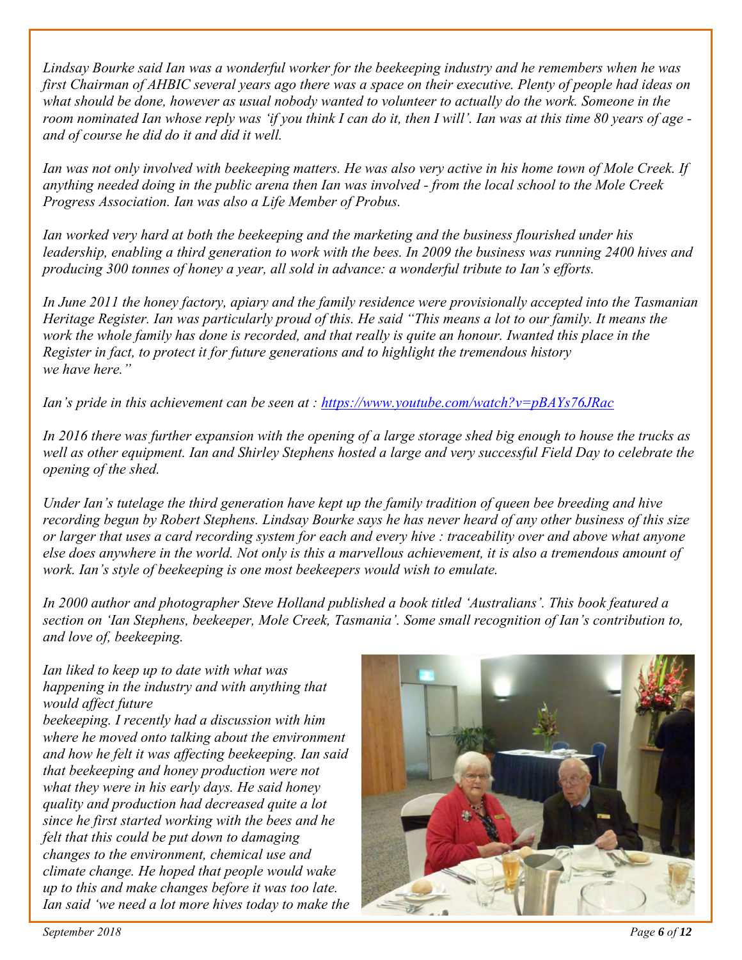*Lindsay Bourke said Ian was a wonderful worker for the beekeeping industry and he remembers when he was first Chairman of AHBIC several years ago there was a space on their executive. Plenty of people had ideas on what should be done, however as usual nobody wanted to volunteer to actually do the work. Someone in the room nominated Ian whose reply was 'if you think I can do it, then I will'. Ian was at this time 80 years of age and of course he did do it and did it well.* 

*Ian was not only involved with beekeeping matters. He was also very active in his home town of Mole Creek. If anything needed doing in the public arena then Ian was involved - from the local school to the Mole Creek Progress Association. Ian was also a Life Member of Probus.*

*Ian worked very hard at both the beekeeping and the marketing and the business flourished under his leadership, enabling a third generation to work with the bees. In 2009 the business was running 2400 hives and producing 300 tonnes of honey a year, all sold in advance: a wonderful tribute to Ian's efforts.* 

*In June 2011 the honey factory, apiary and the family residence were provisionally accepted into the Tasmanian Heritage Register. Ian was particularly proud of this. He said "This means a lot to our family. It means the work the whole family has done is recorded, and that really is quite an honour. Iwanted this place in the Register in fact, to protect it for future generations and to highlight the tremendous history we have here."* 

*Ian's pride in this achievement can be seen at :<https://www.youtube.com/watch?v=pBAYs76JRac>*

*In 2016 there was further expansion with the opening of a large storage shed big enough to house the trucks as well as other equipment. Ian and Shirley Stephens hosted a large and very successful Field Day to celebrate the opening of the shed.* 

*Under Ian's tutelage the third generation have kept up the family tradition of queen bee breeding and hive recording begun by Robert Stephens. Lindsay Bourke says he has never heard of any other business of this size or larger that uses a card recording system for each and every hive : traceability over and above what anyone else does anywhere in the world. Not only is this a marvellous achievement, it is also a tremendous amount of work. Ian's style of beekeeping is one most beekeepers would wish to emulate.*

*In 2000 author and photographer Steve Holland published a book titled 'Australians'. This book featured a section on 'Ian Stephens, beekeeper, Mole Creek, Tasmania'. Some small recognition of Ian's contribution to, and love of, beekeeping.* 

*Ian liked to keep up to date with what was happening in the industry and with anything that would affect future beekeeping. I recently had a discussion with him where he moved onto talking about the environment and how he felt it was affecting beekeeping. Ian said that beekeeping and honey production were not what they were in his early days. He said honey quality and production had decreased quite a lot since he first started working with the bees and he felt that this could be put down to damaging changes to the environment, chemical use and climate change. He hoped that people would wake up to this and make changes before it was too late. Ian said 'we need a lot more hives today to make the* 

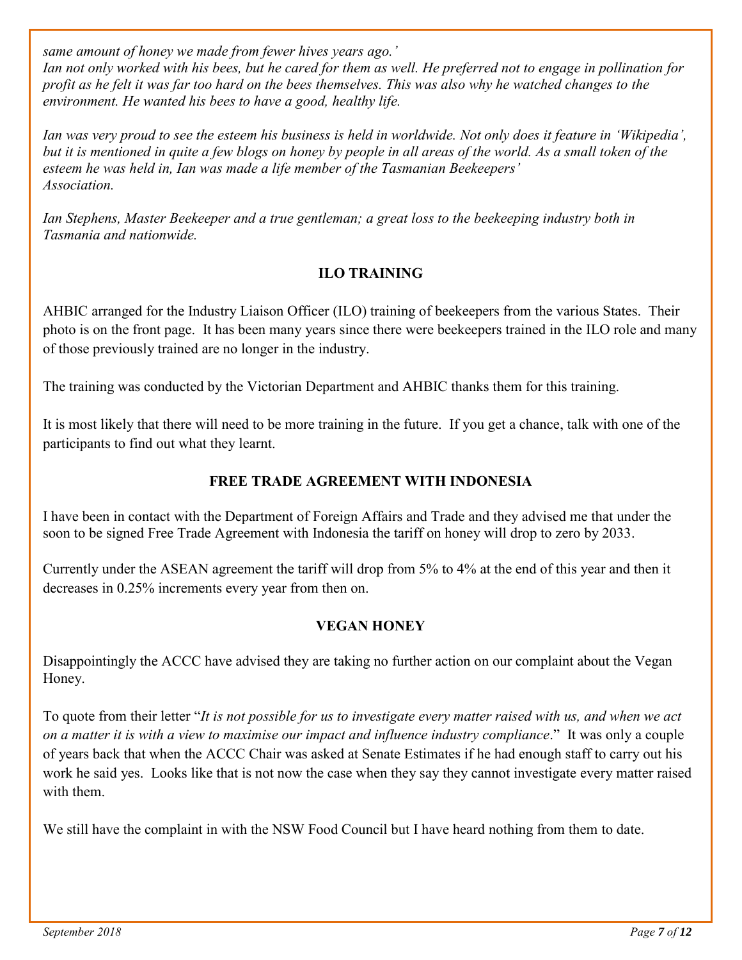*same amount of honey we made from fewer hives years ago.'* 

*Ian not only worked with his bees, but he cared for them as well. He preferred not to engage in pollination for profit as he felt it was far too hard on the bees themselves. This was also why he watched changes to the environment. He wanted his bees to have a good, healthy life.* 

*Ian was very proud to see the esteem his business is held in worldwide. Not only does it feature in 'Wikipedia', but it is mentioned in quite a few blogs on honey by people in all areas of the world. As a small token of the esteem he was held in, Ian was made a life member of the Tasmanian Beekeepers' Association.* 

*Ian Stephens, Master Beekeeper and a true gentleman; a great loss to the beekeeping industry both in Tasmania and nationwide.* 

#### **ILO TRAINING**

AHBIC arranged for the Industry Liaison Officer (ILO) training of beekeepers from the various States. Their photo is on the front page. It has been many years since there were beekeepers trained in the ILO role and many of those previously trained are no longer in the industry.

The training was conducted by the Victorian Department and AHBIC thanks them for this training.

It is most likely that there will need to be more training in the future. If you get a chance, talk with one of the participants to find out what they learnt.

#### **FREE TRADE AGREEMENT WITH INDONESIA**

I have been in contact with the Department of Foreign Affairs and Trade and they advised me that under the soon to be signed Free Trade Agreement with Indonesia the tariff on honey will drop to zero by 2033.

Currently under the ASEAN agreement the tariff will drop from 5% to 4% at the end of this year and then it decreases in 0.25% increments every year from then on.

#### **VEGAN HONEY**

Disappointingly the ACCC have advised they are taking no further action on our complaint about the Vegan Honey.

To quote from their letter "*It is not possible for us to investigate every matter raised with us, and when we act on a matter it is with a view to maximise our impact and influence industry compliance*." It was only a couple of years back that when the ACCC Chair was asked at Senate Estimates if he had enough staff to carry out his work he said yes. Looks like that is not now the case when they say they cannot investigate every matter raised with them.

We still have the complaint in with the NSW Food Council but I have heard nothing from them to date.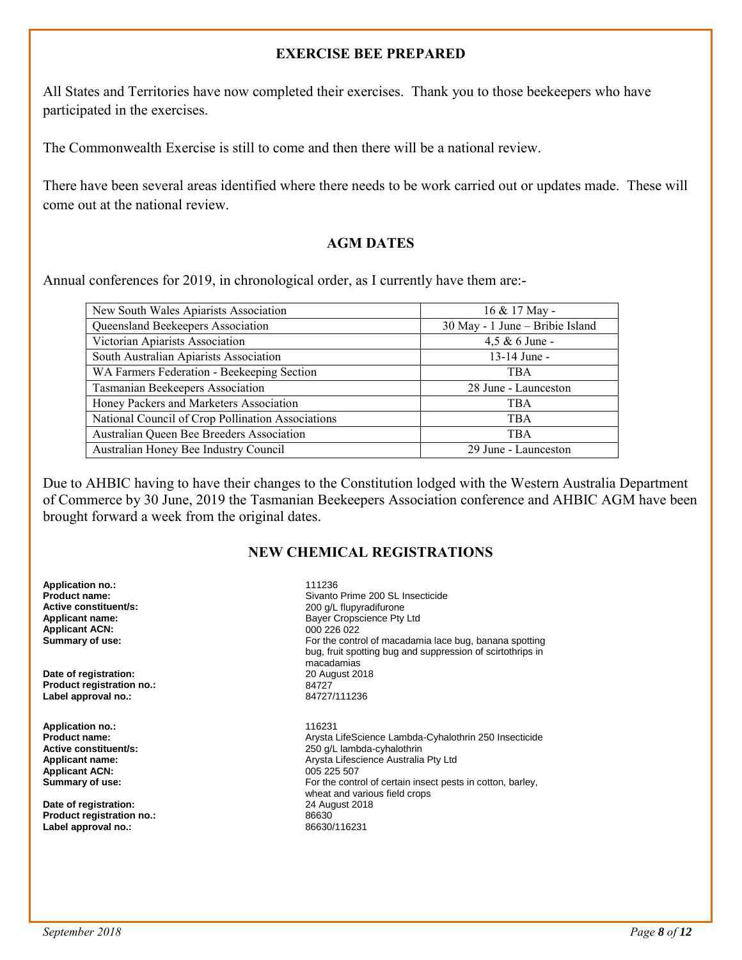#### **EXERCISE BEE PREPARED**

All States and Territories have now completed their exercises. Thank you to those beekeepers who have participated in the exercises.

The Commonwealth Exercise is still to come and then there will be a national review.

There have been several areas identified where there needs to be work carried out or updates made. These will come out at the national review.

#### **AGM DATES**

Annual conferences for 2019, in chronological order, as I currently have them are:-

| New South Wales Apiarists Association             | 16 & 17 May -                   |
|---------------------------------------------------|---------------------------------|
| Queensland Beekeepers Association                 | 30 May - 1 June - Bribie Island |
| Victorian Apiarists Association                   | $4,5 \& 6$ June -               |
| South Australian Apiarists Association            | 13-14 June -                    |
| WA Farmers Federation - Beekeeping Section        | <b>TBA</b>                      |
| Tasmanian Beekeepers Association                  | 28 June - Launceston            |
| Honey Packers and Marketers Association           | <b>TBA</b>                      |
| National Council of Crop Pollination Associations | <b>TBA</b>                      |
| Australian Queen Bee Breeders Association         | <b>TBA</b>                      |
| Australian Honey Bee Industry Council             | 29 June - Launceston            |

Due to AHBIC having to have their changes to the Constitution lodged with the Western Australia Department of Commerce by 30 June, 2019 the Tasmanian Beekeepers Association conference and AHBIC AGM have been brought forward a week from the original dates.

#### **NEW CHEMICAL REGISTRATIONS**

| <b>Application no.:</b><br>Product name:<br>Active constituent/s:<br><b>Applicant name:</b><br><b>Applicant ACN:</b><br>Summary of use: | 111236<br>Sivanto Prime 200 SL Insecticide<br>200 g/L flupyradifurone<br>Bayer Cropscience Pty Ltd<br>000 226 022<br>For the control of macadamia lace bug, banana spotting<br>bug, fruit spotting bug and suppression of scirtothrips in<br>macadamias |  |  |  |
|-----------------------------------------------------------------------------------------------------------------------------------------|---------------------------------------------------------------------------------------------------------------------------------------------------------------------------------------------------------------------------------------------------------|--|--|--|
| Date of registration:                                                                                                                   | 20 August 2018                                                                                                                                                                                                                                          |  |  |  |
| Product registration no.:                                                                                                               | 84727                                                                                                                                                                                                                                                   |  |  |  |
| Label approval no.:                                                                                                                     | 84727/111236                                                                                                                                                                                                                                            |  |  |  |
| <b>Application no.:</b>                                                                                                                 | 116231                                                                                                                                                                                                                                                  |  |  |  |
| Product name:                                                                                                                           | Arysta LifeScience Lambda-Cyhalothrin 250 Insecticide                                                                                                                                                                                                   |  |  |  |
| Active constituent/s:                                                                                                                   | 250 g/L lambda-cyhalothrin                                                                                                                                                                                                                              |  |  |  |
| <b>Applicant name:</b>                                                                                                                  | Arysta Lifescience Australia Pty Ltd                                                                                                                                                                                                                    |  |  |  |
| <b>Applicant ACN:</b>                                                                                                                   | 005 225 507                                                                                                                                                                                                                                             |  |  |  |
| Summary of use:                                                                                                                         | For the control of certain insect pests in cotton, barley,<br>wheat and various field crops                                                                                                                                                             |  |  |  |
| Date of registration:                                                                                                                   | 24 August 2018                                                                                                                                                                                                                                          |  |  |  |
| Product registration no.:                                                                                                               | 86630                                                                                                                                                                                                                                                   |  |  |  |
| Label approval no.:                                                                                                                     | 86630/116231                                                                                                                                                                                                                                            |  |  |  |
|                                                                                                                                         |                                                                                                                                                                                                                                                         |  |  |  |
|                                                                                                                                         |                                                                                                                                                                                                                                                         |  |  |  |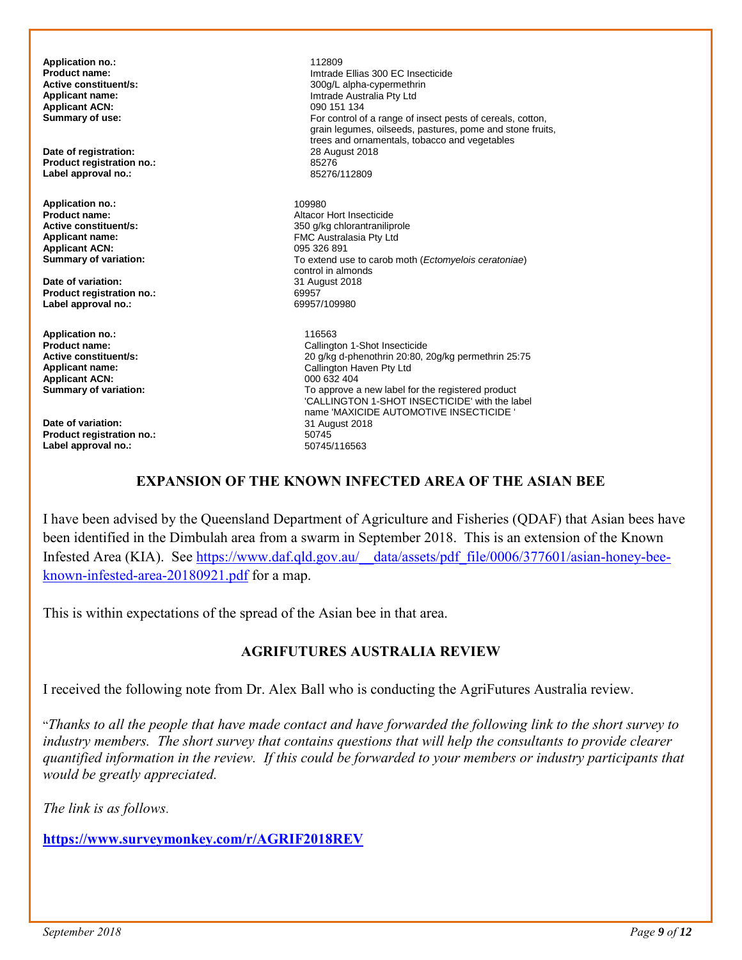**Application no.:** 112809 **Applicant ACN:**<br>Summary of use:

**Date of registration:** 28 August 28 August 28 August 28 August 28 August 28 August 2018 **Product registration no.:** 85276 Label approval no.:

**Application no.:** 109980<br> **Product name:** 2009 11 2009 12 2010 12 2010 12 2010 12 2010 12 2010 12 2010 12 2010 12 2010 12 2010 12 2010 12 20 **Product name:**<br> **Altacor Hort Insecticide**<br> **Active constituent/s:**<br> **Altacor Hort Insecticide**<br> **Active constituent/s: Applicant ACN:** 095 326 891<br> **Summary of variation:** Campion Control Control of To extend us

**Date of variation:** 31 August 2018<br> **Product registration no.:** 69957 **Product registration no.:** 69957 **Label approval no.:** 

**Application no.:** 116563 **Applicant ACN:** 000 632 404<br> **Summary of variation:** Computer Computer Computer To approve a

**Date of variation:** 31 August 2018<br> **Product registration no:** 50745 **Product registration no.:** 50745 Label approval no.:

**Product name: Product name: Imtrade Ellias 300 EC Insecticide**<br> **Active constituent/s:** 2000/L alpha-cypermethrin **Active constituent/s:** <br>**4.300g/L** alpha-cypermethrin <br>**4.300g/L** alpha-cypermethrin <br>**4.300g/L alpha-cypermethrin** <br>1.300g/L alpha-cypermethrin **Imtrade Australia Pty Ltd**<br>090 151 134 For control of a range of insect pests of cereals, cotton, grain legumes, oilseeds, pastures, pome and stone fruits, trees and ornamentals, tobacco and vegetables

**Active constituent/s:** <br>**Applicant name:** <br>**Applicant name:** <br>**Applicant name:** <br>**Applicant name:** <br>**Applicant name:** <br>**Applicant name:** <br>**Applicant A FMC Australasia Pty Ltd Summary of variation:** To extend use to carob moth (*Ectomyelois ceratoniae*) control in almonds<br>31 August 2018

**Product name:** Callington 1-Shot Insecticide **Active constituent/s:** <br>**Applicant name:** <br>**Applicant name:** <br>**Applicant name:** <br>**Applicant name:** <br>**Callington Haven Pty Ltd Applicant name:** Callington Haven Pty Ltd To approve a new label for the registered product 'CALLINGTON 1-SHOT INSECTICIDE' with the label name 'MAXICIDE AUTOMOTIVE INSECTICIDE '<br>31 August 2018

#### **EXPANSION OF THE KNOWN INFECTED AREA OF THE ASIAN BEE**

I have been advised by the Queensland Department of Agriculture and Fisheries (QDAF) that Asian bees have been identified in the Dimbulah area from a swarm in September 2018. This is an extension of the Known Infested Area (KIA). See [https://www.daf.qld.gov.au/\\_\\_data/assets/pdf\\_file/0006/377601/asian-honey-bee](https://www.daf.qld.gov.au/__data/assets/pdf_file/0006/377601/asian-honey-bee-known-infested-area-20180921.pdf)[known-infested-area-20180921.pdf](https://www.daf.qld.gov.au/__data/assets/pdf_file/0006/377601/asian-honey-bee-known-infested-area-20180921.pdf) for a map.

This is within expectations of the spread of the Asian bee in that area.

#### **AGRIFUTURES AUSTRALIA REVIEW**

I received the following note from Dr. Alex Ball who is conducting the AgriFutures Australia review.

"*Thanks to all the people that have made contact and have forwarded the following link to the short survey to industry members. The short survey that contains questions that will help the consultants to provide clearer quantified information in the review. If this could be forwarded to your members or industry participants that would be greatly appreciated.* 

*The link is as follows*.

**[https://www.surveymonkey.com/r/AGRIF2018REV](https://eur01.safelinks.protection.outlook.com/?url=https%3A%2F%2Fwww.surveymonkey.com%2Fr%2FAGRIF2018REV&data=02%7C01%7C%7C88c54751133c497775a908d6018bb340%7C84df9e7fe9f640afb435aaaaaaaaaaaa%7C1%7C0%7C636698096848497163&sdata=UvZNdy2yIbp5g6uDwlvxvoXuCsSK2ceMHyNDiXR13Xo%3D&reserved=0)**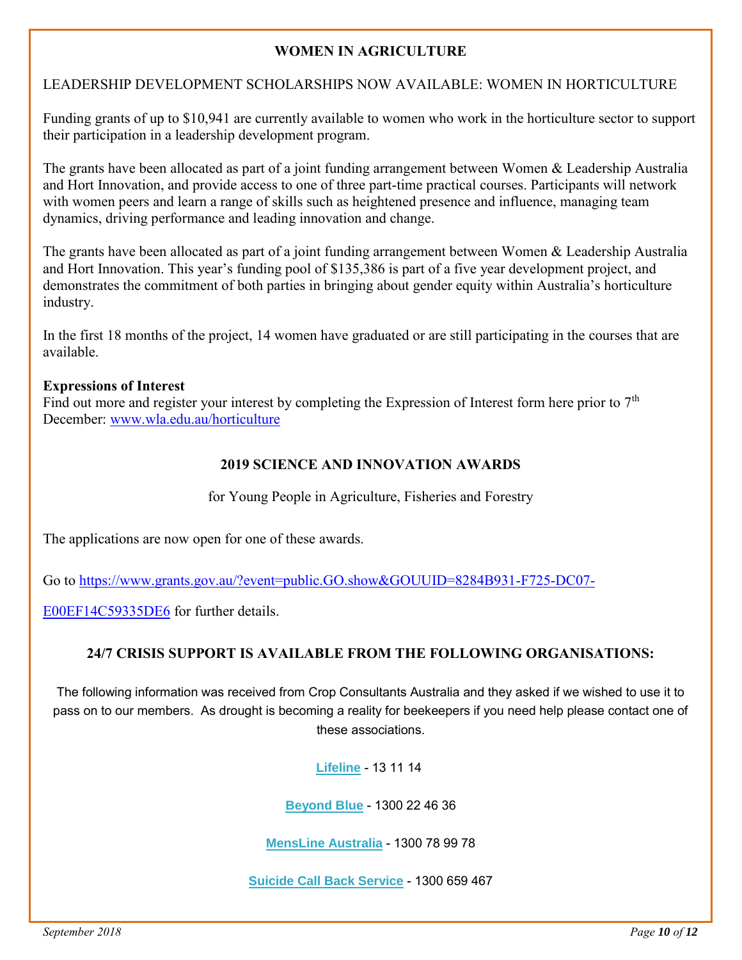#### **WOMEN IN AGRICULTURE**

#### LEADERSHIP DEVELOPMENT SCHOLARSHIPS NOW AVAILABLE: WOMEN IN HORTICULTURE

Funding grants of up to \$10,941 are currently available to women who work in the horticulture sector to support their participation in a leadership development program.

The grants have been allocated as part of a joint funding arrangement between Women & Leadership Australia and Hort Innovation, and provide access to one of three part-time practical courses. Participants will network with women peers and learn a range of skills such as heightened presence and influence, managing team dynamics, driving performance and leading innovation and change.

The grants have been allocated as part of a joint funding arrangement between Women & Leadership Australia and Hort Innovation. This year's funding pool of \$135,386 is part of a five year development project, and demonstrates the commitment of both parties in bringing about gender equity within Australia's horticulture industry.

In the first 18 months of the project, 14 women have graduated or are still participating in the courses that are available.

#### **Expressions of Interest**

Find out more and register your interest by completing the Expression of Interest form here prior to  $7<sup>th</sup>$ December: [www.wla.edu.au/horticulture](http://www.wla.edu.au/horticulture) 

#### **2019 SCIENCE AND INNOVATION AWARDS**

for Young People in Agriculture, Fisheries and Forestry

The applications are now open for one of these awards.

Go to [https://www.grants.gov.au/?event=public.GO.show&GOUUID=8284B931-F725-DC07-](https://www.grants.gov.au/?event=public.GO.show&GOUUID=8284B931-F725-DC07-E00EF14C59335DE6)

[E00EF14C59335DE6](https://www.grants.gov.au/?event=public.GO.show&GOUUID=8284B931-F725-DC07-E00EF14C59335DE6) for further details.

#### **24/7 CRISIS SUPPORT IS AVAILABLE FROM THE FOLLOWING ORGANISATIONS:**

The following information was received from Crop Consultants Australia and they asked if we wished to use it to pass on to our members. As drought is becoming a reality for beekeepers if you need help please contact one of these associations.

**[Lifeline](https://cropconsultants.us2.list-manage.com/track/click?u=e4a366f9f1a91e0442e70db08&id=3cb7623656&e=820667b013)** - 13 11 14

**[Beyond Blue](https://cropconsultants.us2.list-manage.com/track/click?u=e4a366f9f1a91e0442e70db08&id=9d6478e7af&e=820667b013)** - 1300 22 46 36

**[MensLine Australia](https://cropconsultants.us2.list-manage.com/track/click?u=e4a366f9f1a91e0442e70db08&id=54c2f45777&e=820667b013)** - 1300 78 99 78

**[Suicide Call Back Service](https://cropconsultants.us2.list-manage.com/track/click?u=e4a366f9f1a91e0442e70db08&id=8b9c104f15&e=820667b013)** - 1300 659 467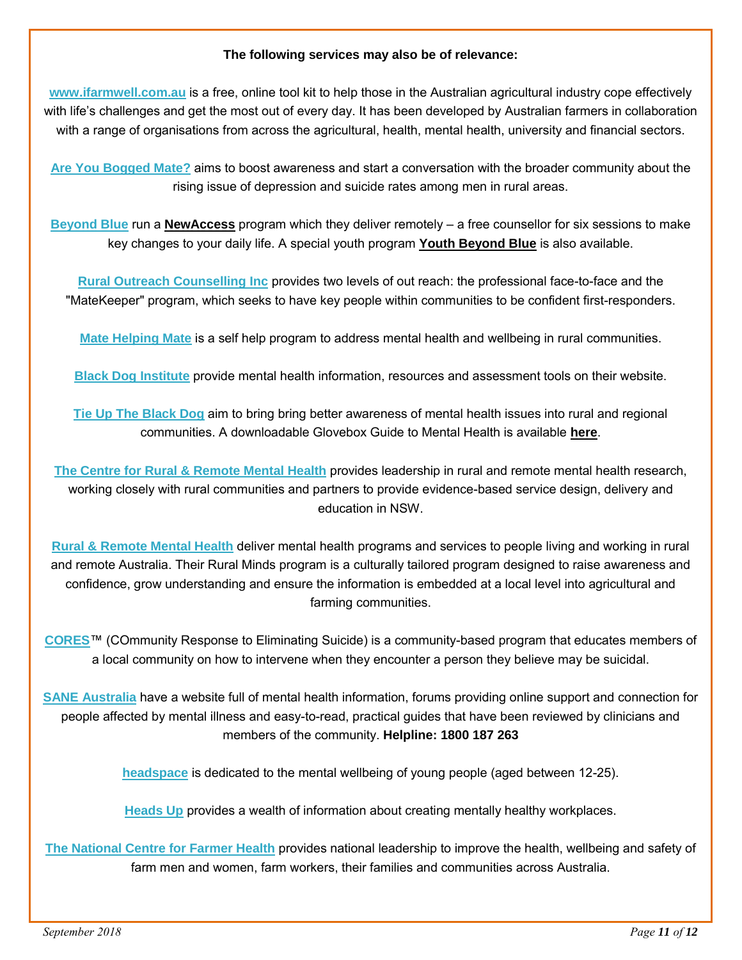#### **The following services may also be of relevance:**

**[www.ifarmwell.com.au](https://cropconsultants.us2.list-manage.com/track/click?u=e4a366f9f1a91e0442e70db08&id=9f4dab0885&e=820667b013)** is a free, online tool kit to help those in the Australian agricultural industry cope effectively with life's challenges and get the most out of every day. It has been developed by Australian farmers in collaboration with a range of organisations from across the agricultural, health, mental health, university and financial sectors.

**[Are You Bogged Mate?](https://cropconsultants.us2.list-manage.com/track/click?u=e4a366f9f1a91e0442e70db08&id=76ff0199c5&e=820667b013)** aims to boost awareness and start a conversation with the broader community about the rising issue of depression and suicide rates among men in rural areas.

**[Beyond Blue](https://cropconsultants.us2.list-manage.com/track/click?u=e4a366f9f1a91e0442e70db08&id=f630486168&e=820667b013)** run a **[NewAccess](https://cropconsultants.us2.list-manage.com/track/click?u=e4a366f9f1a91e0442e70db08&id=a74df54f81&e=820667b013)** program which they deliver remotely – a free counsellor for six sessions to make key changes to your daily life. A special youth program **[Youth Beyond Blue](https://cropconsultants.us2.list-manage.com/track/click?u=e4a366f9f1a91e0442e70db08&id=7e2007d32b&e=820667b013)** is also available.

**[Rural Outreach Counselling Inc](https://cropconsultants.us2.list-manage.com/track/click?u=e4a366f9f1a91e0442e70db08&id=84462956fd&e=820667b013)** provides two levels of out reach: the professional face-to-face and the "MateKeeper" program, which seeks to have key people within communities to be confident first-responders.

**[Mate Helping Mate](https://cropconsultants.us2.list-manage.com/track/click?u=e4a366f9f1a91e0442e70db08&id=b10217a8ee&e=820667b013)** is a self help program to address mental health and wellbeing in rural communities.

**[Black Dog Institute](https://cropconsultants.us2.list-manage.com/track/click?u=e4a366f9f1a91e0442e70db08&id=1a774dcbb6&e=820667b013)** provide mental health information, resources and assessment tools on their website.

**[Tie Up The Black Dog](https://cropconsultants.us2.list-manage.com/track/click?u=e4a366f9f1a91e0442e70db08&id=0555e5745a&e=820667b013)** aim to bring bring better awareness of mental health issues into rural and regional communities. A downloadable Glovebox Guide to Mental Health is available **[here](https://cropconsultants.us2.list-manage.com/track/click?u=e4a366f9f1a91e0442e70db08&id=c134c04018&e=820667b013)**.

**[The Centre for Rural & Remote Mental Health](https://cropconsultants.us2.list-manage.com/track/click?u=e4a366f9f1a91e0442e70db08&id=c56bc75d48&e=820667b013)** provides leadership in rural and remote mental health research, working closely with rural communities and partners to provide evidence-based service design, delivery and education in NSW.

**[Rural & Remote Mental Health](https://cropconsultants.us2.list-manage.com/track/click?u=e4a366f9f1a91e0442e70db08&id=9eb752a483&e=820667b013)** deliver mental health programs and services to people living and working in rural and remote Australia. Their Rural Minds program is a culturally tailored program designed to raise awareness and confidence, grow understanding and ensure the information is embedded at a local level into agricultural and farming communities.

**[CORES](https://cropconsultants.us2.list-manage.com/track/click?u=e4a366f9f1a91e0442e70db08&id=e775e6a9da&e=820667b013)**™ (COmmunity Response to Eliminating Suicide) is a community-based program that educates members of a local community on how to intervene when they encounter a person they believe may be suicidal.

**[SANE Australia](https://cropconsultants.us2.list-manage.com/track/click?u=e4a366f9f1a91e0442e70db08&id=03fccb6292&e=820667b013)** have a website full of mental health information, forums providing online support and connection for people affected by mental illness and easy-to-read, practical guides that have been reviewed by clinicians and members of the community. **Helpline: 1800 187 263** 

**[headspace](https://cropconsultants.us2.list-manage.com/track/click?u=e4a366f9f1a91e0442e70db08&id=cea4b31baf&e=820667b013)** is dedicated to the mental wellbeing of young people (aged between 12-25).

**[Heads Up](https://cropconsultants.us2.list-manage.com/track/click?u=e4a366f9f1a91e0442e70db08&id=cec12ccc03&e=820667b013)** provides a wealth of information about creating mentally healthy workplaces.

**[The National Centre for Farmer Health](https://cropconsultants.us2.list-manage.com/track/click?u=e4a366f9f1a91e0442e70db08&id=c3639b2790&e=820667b013)** provides national leadership to improve the health, wellbeing and safety of farm men and women, farm workers, their families and communities across Australia.